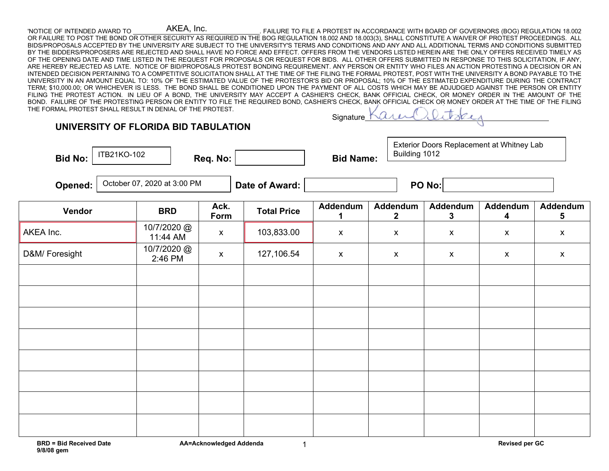## 'NOTICE OF INTENDED AWARD TO \_\_\_\_\_\_\_\_\_\_\_\_\_\_\_\_\_\_\_\_\_\_\_\_\_\_\_\_\_\_\_\_\_\_\_\_\_. FAILURE TO FILE A PROTEST IN ACCORDANCE WITH BOARD OF GOVERNORS (BOG) REGULATION 18.002 OR FAILURE TO POST THE BOND OR OTHER SECURITY AS REQUIRED IN THE BOG REGULATION 18.002 AND 18.003(3), SHALL CONSTITUTE A WAIVER OF PROTEST PROCEEDINGS. ALL BIDS/PROPOSALS ACCEPTED BY THE UNIVERSITY ARE SUBJECT TO THE UNIVERSITY'S TERMS AND CONDITIONS AND ANY AND ALL ADDITIONAL TERMS AND CONDITIONS SUBMITTED BY THE BIDDERS/PROPOSERS ARE REJECTED AND SHALL HAVE NO FORCE AND EFFECT. OFFERS FROM THE VENDORS LISTED HEREIN ARE THE ONLY OFFERS RECEIVED TIMELY AS OF THE OPENING DATE AND TIME LISTED IN THE REQUEST FOR PROPOSALS OR REQUEST FOR BIDS. ALL OTHER OFFERS SUBMITTED IN RESPONSE TO THIS SOLICITATION, IF ANY, ARE HEREBY REJECTED AS LATE. NOTICE OF BID/PROPOSALS PROTEST BONDING REQUIREMENT. ANY PERSON OR ENTITY WHO FILES AN ACTION PROTESTING A DECISION OR AN INTENDED DECISION PERTAINING TO A COMPETITIVE SOLICITATION SHALL AT THE TIME OF THE FILING THE FORMAL PROTEST, POST WITH THE UNIVERSITY A BOND PAYABLE TO THE UNIVERSITY IN AN AMOUNT EQUAL TO: 10% OF THE ESTIMATED VALUE OF THE PROTESTOR'S BID OR PROPOSAL; 10% OF THE ESTIMATED EXPENDITURE DURING THE CONTRACT TERM; \$10,000.00; OR WHICHEVER IS LESS. THE BOND SHALL BE CONDITIONED UPON THE PAYMENT OF ALL COSTS WHICH MAY BE ADJUDGED AGAINST THE PERSON OR ENTITY FILING THE PROTEST ACTION. IN LIEU OF A BOND, THE UNIVERSITY MAY ACCEPT A CASHIER'S CHECK, BANK OFFICIAL CHECK, OR MONEY ORDER IN THE AMOUNT OF THE BOND. FAILURE OF THE PROTESTING PERSON OR ENTITY TO FILE THE REQUIRED BOND, CASHIER'S CHECK, BANK OFFICIAL CHECK OR MONEY ORDER AT THE TIME OF THE FILING AKEA, Inc.

THE FORMAL PROTEST SHALL RESULT IN DENIAL OF THE PROTEST.

Signature

## **UNIVERSITY OF FLORIDA BID TABULATION Bid No:**  $\begin{vmatrix} 11B271K0-102 \\ 1 \end{vmatrix}$  Req. No:  $\begin{vmatrix} 1 & 1 \end{vmatrix}$  Bid Name: **Opened:**  $\vert$  <sup>October 07, 2020 at 3:00 PM  $\vert$  **Date of Award:**  $\vert$  **PO No:**</sup> **Vendor BRD Ack. Form Total Price Addendum 1 Addendum 2 Addendum 3 Addendum 4 Addendum 5** AKEA Inc. 10/7/2020 @<br>11:44 AM 11:44 AM x 103,833.00 x x x x x x D&M/ Foresight 10/7/2020 @  $2:46 \text{ PM}$  x 127,106.54 x x x x x x x ITB21KO-102 Exterior Doors Replacement at Whitney Lab Building 1012